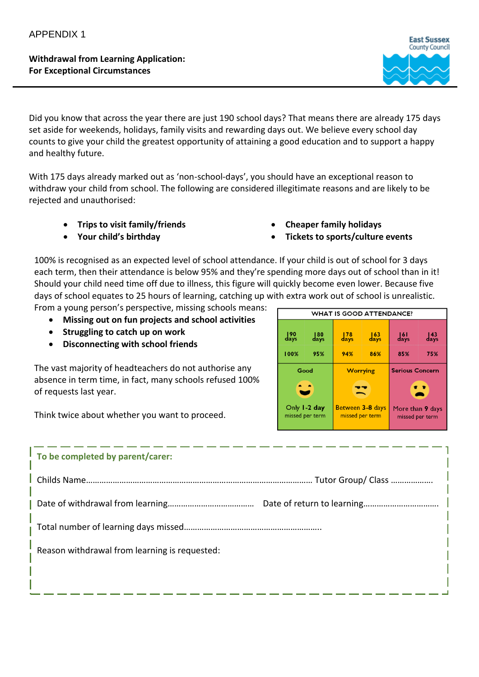**Withdrawal from Learning Application: For Exceptional Circumstances**



Did you know that across the year there are just 190 school days? That means there are already 175 days set aside for weekends, holidays, family visits and rewarding days out. We believe every school day counts to give your child the greatest opportunity of attaining a good education and to support a happy and healthy future.

With 175 days already marked out as 'non-school-days', you should have an exceptional reason to withdraw your child from school. The following are considered illegitimate reasons and are likely to be rejected and unauthorised:

- **Trips to visit family/friends**
- **Your child's birthday**
- **Cheaper family holidays**
- **Tickets to sports/culture events**

100% is recognised as an expected level of school attendance. If your child is out of school for 3 days each term, then their attendance is below 95% and they're spending more days out of school than in it! Should your child need time off due to illness, this figure will quickly become even lower. Because five days of school equates to 25 hours of learning, catching up with extra work out of school is unrealistic. From a young person's perspective, missing schools means:

- **Missing out on fun projects and school activities**
- **Struggling to catch up on work**
- **Disconnecting with school friends**

The vast majority of headteachers do not authorise any absence in term time, in fact, many schools refused 100% of requests last year.

Think twice about whether you want to proceed.



| To be completed by parent/carer:              |  |
|-----------------------------------------------|--|
|                                               |  |
|                                               |  |
|                                               |  |
| Reason withdrawal from learning is requested: |  |
|                                               |  |
|                                               |  |